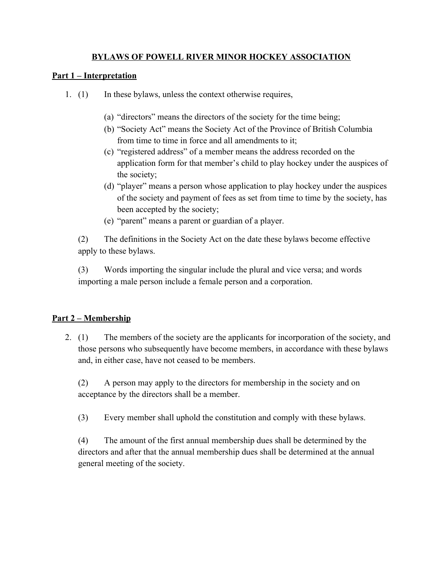### **BYLAWS OF POWELL RIVER MINOR HOCKEY ASSOCIATION**

#### **Part 1 – Interpretation**

- 1. (1) In these bylaws, unless the context otherwise requires,
	- (a) "directors" means the directors of the society for the time being;
	- (b) "Society Act" means the Society Act of the Province of British Columbia from time to time in force and all amendments to it;
	- (c) "registered address" of a member means the address recorded on the application form for that member's child to play hockey under the auspices of the society;
	- (d) "player" means a person whose application to play hockey under the auspices of the society and payment of fees as set from time to time by the society, has been accepted by the society;
	- (e) "parent" means a parent or guardian of a player.

(2) The definitions in the Society Act on the date these bylaws become effective apply to these bylaws.

(3) Words importing the singular include the plural and vice versa; and words importing a male person include a female person and a corporation.

### **Part 2 – Membership**

2. (1) The members of the society are the applicants for incorporation of the society, and those persons who subsequently have become members, in accordance with these bylaws and, in either case, have not ceased to be members.

(2) A person may apply to the directors for membership in the society and on acceptance by the directors shall be a member.

(3) Every member shall uphold the constitution and comply with these bylaws.

(4) The amount of the first annual membership dues shall be determined by the directors and after that the annual membership dues shall be determined at the annual general meeting of the society.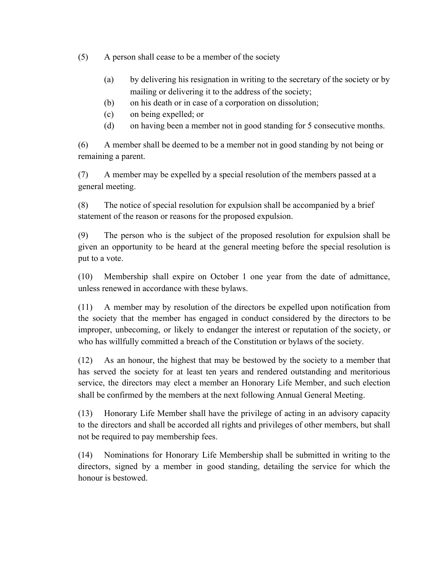(5) A person shall cease to be a member of the society

- (a) by delivering his resignation in writing to the secretary of the society or by mailing or delivering it to the address of the society;
- (b) on his death or in case of a corporation on dissolution;
- (c) on being expelled; or
- (d) on having been a member not in good standing for 5 consecutive months.

(6) A member shall be deemed to be a member not in good standing by not being or remaining a parent.

(7) A member may be expelled by a special resolution of the members passed at a general meeting.

(8) The notice of special resolution for expulsion shall be accompanied by a brief statement of the reason or reasons for the proposed expulsion.

(9) The person who is the subject of the proposed resolution for expulsion shall be given an opportunity to be heard at the general meeting before the special resolution is put to a vote.

(10) Membership shall expire on October 1 one year from the date of admittance, unless renewed in accordance with these bylaws.

(11) A member may by resolution of the directors be expelled upon notification from the society that the member has engaged in conduct considered by the directors to be improper, unbecoming, or likely to endanger the interest or reputation of the society, or who has willfully committed a breach of the Constitution or bylaws of the society.

(12) As an honour, the highest that may be bestowed by the society to a member that has served the society for at least ten years and rendered outstanding and meritorious service, the directors may elect a member an Honorary Life Member, and such election shall be confirmed by the members at the next following Annual General Meeting.

(13) Honorary Life Member shall have the privilege of acting in an advisory capacity to the directors and shall be accorded all rights and privileges of other members, but shall not be required to pay membership fees.

(14) Nominations for Honorary Life Membership shall be submitted in writing to the directors, signed by a member in good standing, detailing the service for which the honour is bestowed.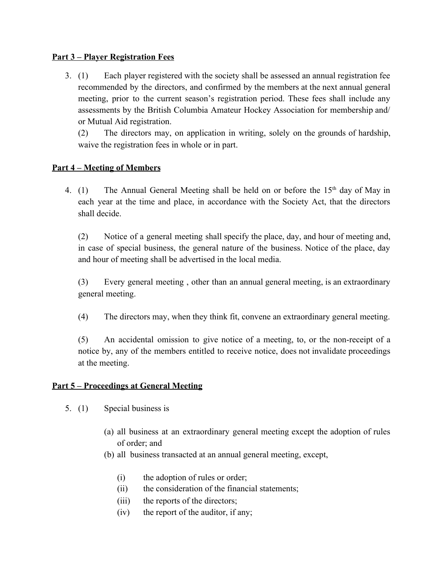#### **Part 3 – Player Registration Fees**

3. (1) Each player registered with the society shall be assessed an annual registration fee recommended by the directors, and confirmed by the members at the next annual general meeting, prior to the current season's registration period. These fees shall include any assessments by the British Columbia Amateur Hockey Association for membership and/ or Mutual Aid registration.

(2) The directors may, on application in writing, solely on the grounds of hardship, waive the registration fees in whole or in part.

### **Part 4 – Meeting of Members**

4. (1) The Annual General Meeting shall be held on or before the  $15<sup>th</sup>$  day of May in each year at the time and place, in accordance with the Society Act, that the directors shall decide.

(2) Notice of a general meeting shall specify the place, day, and hour of meeting and, in case of special business, the general nature of the business. Notice of the place, day and hour of meeting shall be advertised in the local media.

(3) Every general meeting , other than an annual general meeting, is an extraordinary general meeting.

(4) The directors may, when they think fit, convene an extraordinary general meeting.

(5) An accidental omission to give notice of a meeting, to, or the non-receipt of a notice by, any of the members entitled to receive notice, does not invalidate proceedings at the meeting.

#### **Part 5 – Proceedings at General Meeting**

- 5. (1) Special business is
	- (a) all business at an extraordinary general meeting except the adoption of rules of order; and
	- (b) all business transacted at an annual general meeting, except,
		- (i) the adoption of rules or order;
		- (ii) the consideration of the financial statements;
		- (iii) the reports of the directors;
		- (iv) the report of the auditor, if any;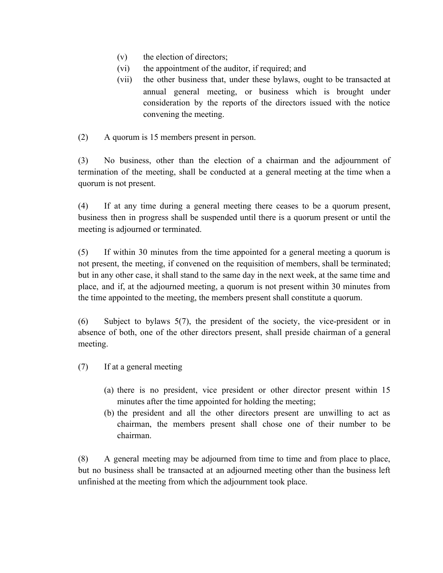- (v) the election of directors;
- (vi) the appointment of the auditor, if required; and
- (vii) the other business that, under these bylaws, ought to be transacted at annual general meeting, or business which is brought under consideration by the reports of the directors issued with the notice convening the meeting.
- (2) A quorum is 15 members present in person.

(3) No business, other than the election of a chairman and the adjournment of termination of the meeting, shall be conducted at a general meeting at the time when a quorum is not present.

(4) If at any time during a general meeting there ceases to be a quorum present, business then in progress shall be suspended until there is a quorum present or until the meeting is adjourned or terminated.

(5) If within 30 minutes from the time appointed for a general meeting a quorum is not present, the meeting, if convened on the requisition of members, shall be terminated; but in any other case, it shall stand to the same day in the next week, at the same time and place, and if, at the adjourned meeting, a quorum is not present within 30 minutes from the time appointed to the meeting, the members present shall constitute a quorum.

(6) Subject to bylaws 5(7), the president of the society, the vice-president or in absence of both, one of the other directors present, shall preside chairman of a general meeting.

- (7) If at a general meeting
	- (a) there is no president, vice president or other director present within 15 minutes after the time appointed for holding the meeting;
	- (b) the president and all the other directors present are unwilling to act as chairman, the members present shall chose one of their number to be chairman.

(8) A general meeting may be adjourned from time to time and from place to place, but no business shall be transacted at an adjourned meeting other than the business left unfinished at the meeting from which the adjournment took place.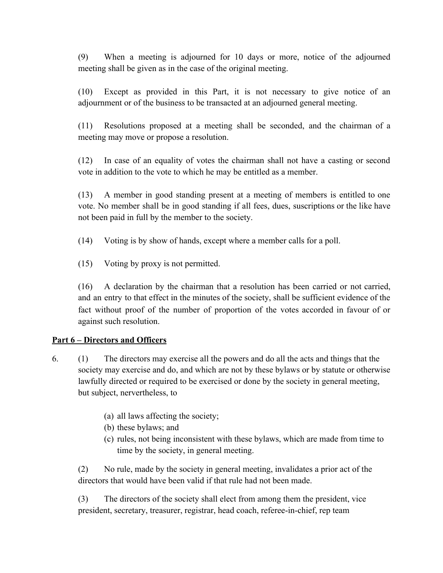(9) When a meeting is adjourned for 10 days or more, notice of the adjourned meeting shall be given as in the case of the original meeting.

(10) Except as provided in this Part, it is not necessary to give notice of an adjournment or of the business to be transacted at an adjourned general meeting.

(11) Resolutions proposed at a meeting shall be seconded, and the chairman of a meeting may move or propose a resolution.

(12) In case of an equality of votes the chairman shall not have a casting or second vote in addition to the vote to which he may be entitled as a member.

(13) A member in good standing present at a meeting of members is entitled to one vote. No member shall be in good standing if all fees, dues, suscriptions or the like have not been paid in full by the member to the society.

(14) Voting is by show of hands, except where a member calls for a poll.

(15) Voting by proxy is not permitted.

(16) A declaration by the chairman that a resolution has been carried or not carried, and an entry to that effect in the minutes of the society, shall be sufficient evidence of the fact without proof of the number of proportion of the votes accorded in favour of or against such resolution.

#### **Part 6 – Directors and Officers**

- 6. (1) The directors may exercise all the powers and do all the acts and things that the society may exercise and do, and which are not by these bylaws or by statute or otherwise lawfully directed or required to be exercised or done by the society in general meeting, but subject, nervertheless, to
	- (a) all laws affecting the society;
	- (b) these bylaws; and
	- (c) rules, not being inconsistent with these bylaws, which are made from time to time by the society, in general meeting.

(2) No rule, made by the society in general meeting, invalidates a prior act of the directors that would have been valid if that rule had not been made.

(3) The directors of the society shall elect from among them the president, vice president, secretary, treasurer, registrar, head coach, referee-in-chief, rep team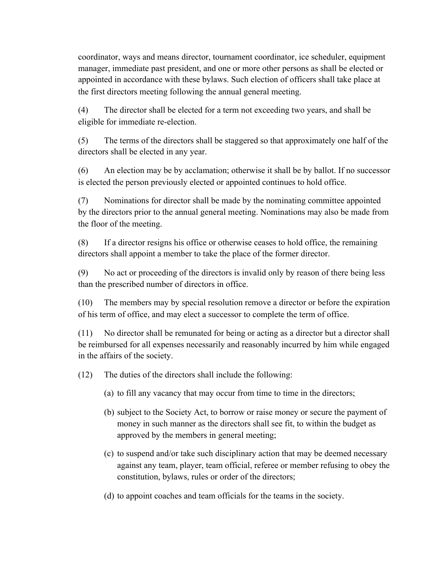coordinator, ways and means director, tournament coordinator, ice scheduler, equipment manager, immediate past president, and one or more other persons as shall be elected or appointed in accordance with these bylaws. Such election of officers shall take place at the first directors meeting following the annual general meeting.

(4) The director shall be elected for a term not exceeding two years, and shall be eligible for immediate re-election.

(5) The terms of the directors shall be staggered so that approximately one half of the directors shall be elected in any year.

(6) An election may be by acclamation; otherwise it shall be by ballot. If no successor is elected the person previously elected or appointed continues to hold office.

(7) Nominations for director shall be made by the nominating committee appointed by the directors prior to the annual general meeting. Nominations may also be made from the floor of the meeting.

(8) If a director resigns his office or otherwise ceases to hold office, the remaining directors shall appoint a member to take the place of the former director.

(9) No act or proceeding of the directors is invalid only by reason of there being less than the prescribed number of directors in office.

(10) The members may by special resolution remove a director or before the expiration of his term of office, and may elect a successor to complete the term of office.

(11) No director shall be remunated for being or acting as a director but a director shall be reimbursed for all expenses necessarily and reasonably incurred by him while engaged in the affairs of the society.

(12) The duties of the directors shall include the following:

- (a) to fill any vacancy that may occur from time to time in the directors;
- (b) subject to the Society Act, to borrow or raise money or secure the payment of money in such manner as the directors shall see fit, to within the budget as approved by the members in general meeting;
- (c) to suspend and/or take such disciplinary action that may be deemed necessary against any team, player, team official, referee or member refusing to obey the constitution, bylaws, rules or order of the directors;
- (d) to appoint coaches and team officials for the teams in the society.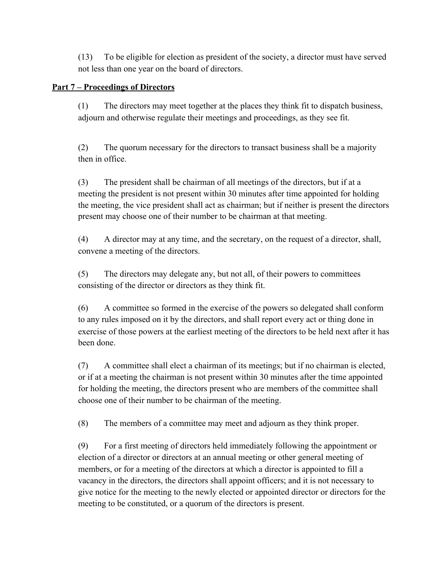(13) To be eligible for election as president of the society, a director must have served not less than one year on the board of directors.

### **Part 7 – Proceedings of Directors**

(1) The directors may meet together at the places they think fit to dispatch business, adjourn and otherwise regulate their meetings and proceedings, as they see fit.

(2) The quorum necessary for the directors to transact business shall be a majority then in office.

(3) The president shall be chairman of all meetings of the directors, but if at a meeting the president is not present within 30 minutes after time appointed for holding the meeting, the vice president shall act as chairman; but if neither is present the directors present may choose one of their number to be chairman at that meeting.

(4) A director may at any time, and the secretary, on the request of a director, shall, convene a meeting of the directors.

(5) The directors may delegate any, but not all, of their powers to committees consisting of the director or directors as they think fit.

(6) A committee so formed in the exercise of the powers so delegated shall conform to any rules imposed on it by the directors, and shall report every act or thing done in exercise of those powers at the earliest meeting of the directors to be held next after it has been done.

(7) A committee shall elect a chairman of its meetings; but if no chairman is elected, or if at a meeting the chairman is not present within 30 minutes after the time appointed for holding the meeting, the directors present who are members of the committee shall choose one of their number to be chairman of the meeting.

(8) The members of a committee may meet and adjourn as they think proper.

(9) For a first meeting of directors held immediately following the appointment or election of a director or directors at an annual meeting or other general meeting of members, or for a meeting of the directors at which a director is appointed to fill a vacancy in the directors, the directors shall appoint officers; and it is not necessary to give notice for the meeting to the newly elected or appointed director or directors for the meeting to be constituted, or a quorum of the directors is present.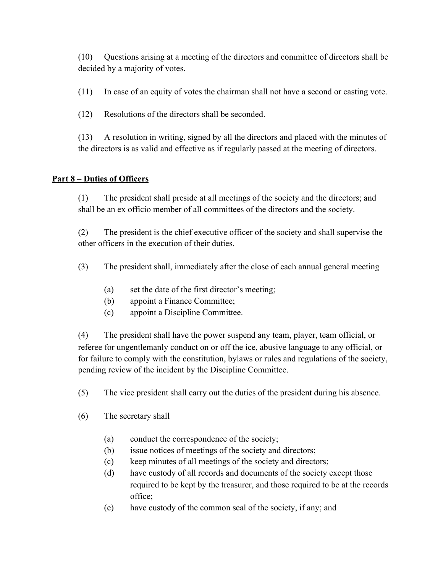(10) Questions arising at a meeting of the directors and committee of directors shall be decided by a majority of votes.

(11) In case of an equity of votes the chairman shall not have a second or casting vote.

(12) Resolutions of the directors shall be seconded.

(13) A resolution in writing, signed by all the directors and placed with the minutes of the directors is as valid and effective as if regularly passed at the meeting of directors.

# **Part 8 – Duties of Officers**

(1) The president shall preside at all meetings of the society and the directors; and shall be an ex officio member of all committees of the directors and the society.

(2) The president is the chief executive officer of the society and shall supervise the other officers in the execution of their duties.

- (3) The president shall, immediately after the close of each annual general meeting
	- (a) set the date of the first director's meeting;
	- (b) appoint a Finance Committee;
	- (c) appoint a Discipline Committee.

(4) The president shall have the power suspend any team, player, team official, or referee for ungentlemanly conduct on or off the ice, abusive language to any official, or for failure to comply with the constitution, bylaws or rules and regulations of the society, pending review of the incident by the Discipline Committee.

(5) The vice president shall carry out the duties of the president during his absence.

- (6) The secretary shall
	- (a) conduct the correspondence of the society;
	- (b) issue notices of meetings of the society and directors;
	- (c) keep minutes of all meetings of the society and directors;
	- (d) have custody of all records and documents of the society except those required to be kept by the treasurer, and those required to be at the records office;
	- (e) have custody of the common seal of the society, if any; and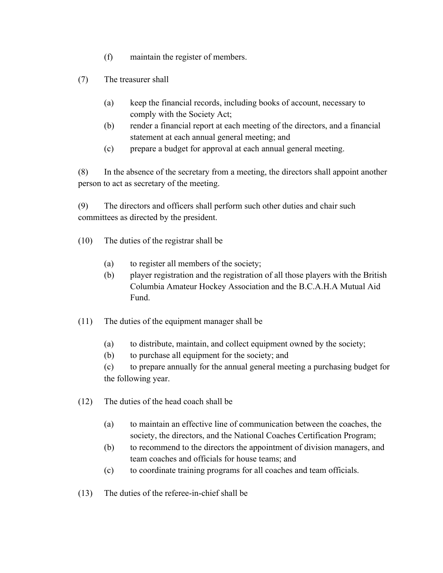- (f) maintain the register of members.
- (7) The treasurer shall
	- (a) keep the financial records, including books of account, necessary to comply with the Society Act;
	- (b) render a financial report at each meeting of the directors, and a financial statement at each annual general meeting; and
	- (c) prepare a budget for approval at each annual general meeting.

(8) In the absence of the secretary from a meeting, the directors shall appoint another person to act as secretary of the meeting.

(9) The directors and officers shall perform such other duties and chair such committees as directed by the president.

- (10) The duties of the registrar shall be
	- (a) to register all members of the society;
	- (b) player registration and the registration of all those players with the British Columbia Amateur Hockey Association and the B.C.A.H.A Mutual Aid Fund.
- (11) The duties of the equipment manager shall be
	- (a) to distribute, maintain, and collect equipment owned by the society;
	- (b) to purchase all equipment for the society; and

(c) to prepare annually for the annual general meeting a purchasing budget for the following year.

- (12) The duties of the head coach shall be
	- (a) to maintain an effective line of communication between the coaches, the society, the directors, and the National Coaches Certification Program;
	- (b) to recommend to the directors the appointment of division managers, and team coaches and officials for house teams; and
	- (c) to coordinate training programs for all coaches and team officials.
- (13) The duties of the referee-in-chief shall be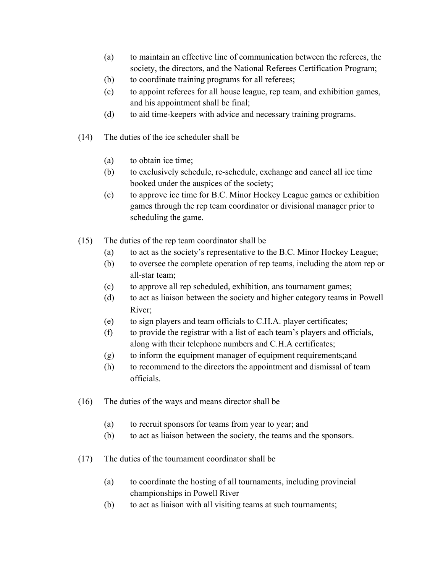- (a) to maintain an effective line of communication between the referees, the society, the directors, and the National Referees Certification Program;
- (b) to coordinate training programs for all referees;
- (c) to appoint referees for all house league, rep team, and exhibition games, and his appointment shall be final;
- (d) to aid time-keepers with advice and necessary training programs.
- (14) The duties of the ice scheduler shall be
	- (a) to obtain ice time;
	- (b) to exclusively schedule, re-schedule, exchange and cancel all ice time booked under the auspices of the society;
	- (c) to approve ice time for B.C. Minor Hockey League games or exhibition games through the rep team coordinator or divisional manager prior to scheduling the game.
- (15) The duties of the rep team coordinator shall be
	- (a) to act as the society's representative to the B.C. Minor Hockey League;
	- (b) to oversee the complete operation of rep teams, including the atom rep or all-star team;
	- (c) to approve all rep scheduled, exhibition, ans tournament games;
	- (d) to act as liaison between the society and higher category teams in Powell River;
	- (e) to sign players and team officials to C.H.A. player certificates;
	- (f) to provide the registrar with a list of each team's players and officials, along with their telephone numbers and C.H.A certificates;
	- (g) to inform the equipment manager of equipment requirements;and
	- (h) to recommend to the directors the appointment and dismissal of team officials.
- (16) The duties of the ways and means director shall be
	- (a) to recruit sponsors for teams from year to year; and
	- (b) to act as liaison between the society, the teams and the sponsors.
- (17) The duties of the tournament coordinator shall be
	- (a) to coordinate the hosting of all tournaments, including provincial championships in Powell River
	- (b) to act as liaison with all visiting teams at such tournaments;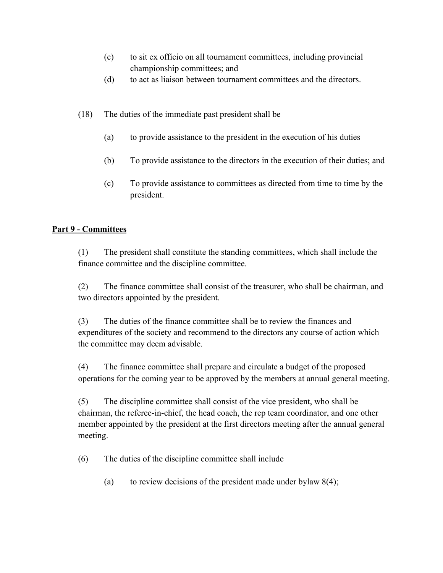- (c) to sit ex officio on all tournament committees, including provincial championship committees; and
- (d) to act as liaison between tournament committees and the directors.
- (18) The duties of the immediate past president shall be
	- (a) to provide assistance to the president in the execution of his duties
	- (b) To provide assistance to the directors in the execution of their duties; and
	- (c) To provide assistance to committees as directed from time to time by the president.

# **Part 9 - Committees**

(1) The president shall constitute the standing committees, which shall include the finance committee and the discipline committee.

(2) The finance committee shall consist of the treasurer, who shall be chairman, and two directors appointed by the president.

(3) The duties of the finance committee shall be to review the finances and expenditures of the society and recommend to the directors any course of action which the committee may deem advisable.

(4) The finance committee shall prepare and circulate a budget of the proposed operations for the coming year to be approved by the members at annual general meeting.

(5) The discipline committee shall consist of the vice president, who shall be chairman, the referee-in-chief, the head coach, the rep team coordinator, and one other member appointed by the president at the first directors meeting after the annual general meeting.

(6) The duties of the discipline committee shall include

(a) to review decisions of the president made under bylaw  $8(4)$ ;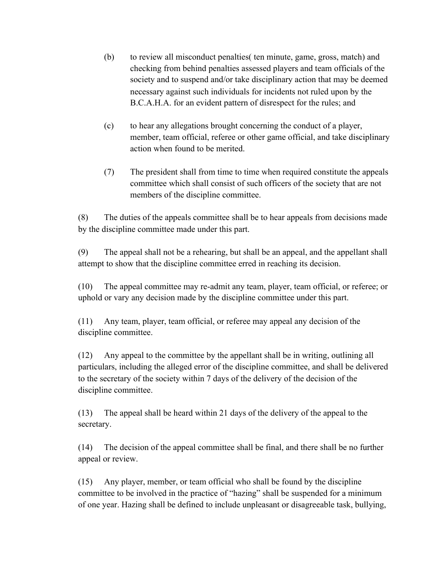- (b) to review all misconduct penalties( ten minute, game, gross, match) and checking from behind penalties assessed players and team officials of the society and to suspend and/or take disciplinary action that may be deemed necessary against such individuals for incidents not ruled upon by the B.C.A.H.A. for an evident pattern of disrespect for the rules; and
- (c) to hear any allegations brought concerning the conduct of a player, member, team official, referee or other game official, and take disciplinary action when found to be merited.
- (7) The president shall from time to time when required constitute the appeals committee which shall consist of such officers of the society that are not members of the discipline committee.

(8) The duties of the appeals committee shall be to hear appeals from decisions made by the discipline committee made under this part.

(9) The appeal shall not be a rehearing, but shall be an appeal, and the appellant shall attempt to show that the discipline committee erred in reaching its decision.

(10) The appeal committee may re-admit any team, player, team official, or referee; or uphold or vary any decision made by the discipline committee under this part.

(11) Any team, player, team official, or referee may appeal any decision of the discipline committee.

(12) Any appeal to the committee by the appellant shall be in writing, outlining all particulars, including the alleged error of the discipline committee, and shall be delivered to the secretary of the society within 7 days of the delivery of the decision of the discipline committee.

(13) The appeal shall be heard within 21 days of the delivery of the appeal to the secretary.

(14) The decision of the appeal committee shall be final, and there shall be no further appeal or review.

(15) Any player, member, or team official who shall be found by the discipline committee to be involved in the practice of "hazing" shall be suspended for a minimum of one year. Hazing shall be defined to include unpleasant or disagreeable task, bullying,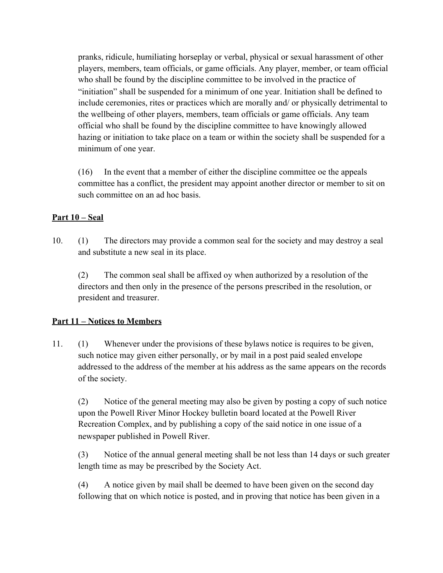pranks, ridicule, humiliating horseplay or verbal, physical or sexual harassment of other players, members, team officials, or game officials. Any player, member, or team official who shall be found by the discipline committee to be involved in the practice of "initiation" shall be suspended for a minimum of one year. Initiation shall be defined to include ceremonies, rites or practices which are morally and/ or physically detrimental to the wellbeing of other players, members, team officials or game officials. Any team official who shall be found by the discipline committee to have knowingly allowed hazing or initiation to take place on a team or within the society shall be suspended for a minimum of one year.

(16) In the event that a member of either the discipline committee oe the appeals committee has a conflict, the president may appoint another director or member to sit on such committee on an ad hoc basis.

### **Part 10 – Seal**

10. (1) The directors may provide a common seal for the society and may destroy a seal and substitute a new seal in its place.

(2) The common seal shall be affixed oy when authorized by a resolution of the directors and then only in the presence of the persons prescribed in the resolution, or president and treasurer.

#### **Part 11 – Notices to Members**

11. (1) Whenever under the provisions of these bylaws notice is requires to be given, such notice may given either personally, or by mail in a post paid sealed envelope addressed to the address of the member at his address as the same appears on the records of the society.

(2) Notice of the general meeting may also be given by posting a copy of such notice upon the Powell River Minor Hockey bulletin board located at the Powell River Recreation Complex, and by publishing a copy of the said notice in one issue of a newspaper published in Powell River.

(3) Notice of the annual general meeting shall be not less than 14 days or such greater length time as may be prescribed by the Society Act.

(4) A notice given by mail shall be deemed to have been given on the second day following that on which notice is posted, and in proving that notice has been given in a